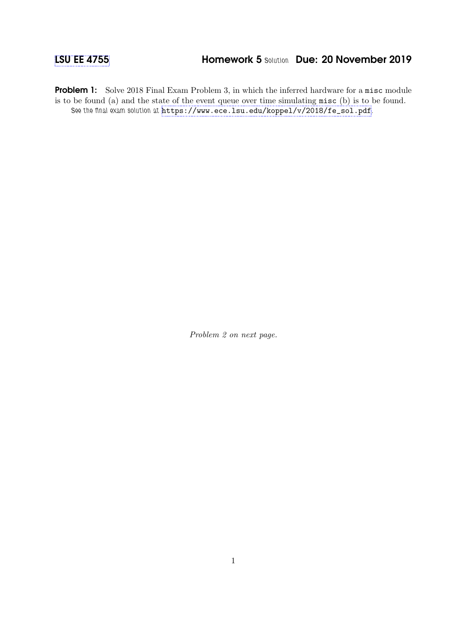## [LSU EE 4755](https://www.ece.lsu.edu/koppel/v/) **Homework 5 Solution Due: 20 November 2019**

Problem 1: Solve 2018 Final Exam Problem 3, in which the inferred hardware for a misc module is to be found (a) and the state of the event queue over time simulating misc (b) is to be found. See the final exam solution at [https://www.ece.lsu.edu/koppel/v/2018/fe\\_sol.pdf](https://www.ece.lsu.edu/koppel/v/2018/fe_sol.pdf).

Problem 2 on next page.